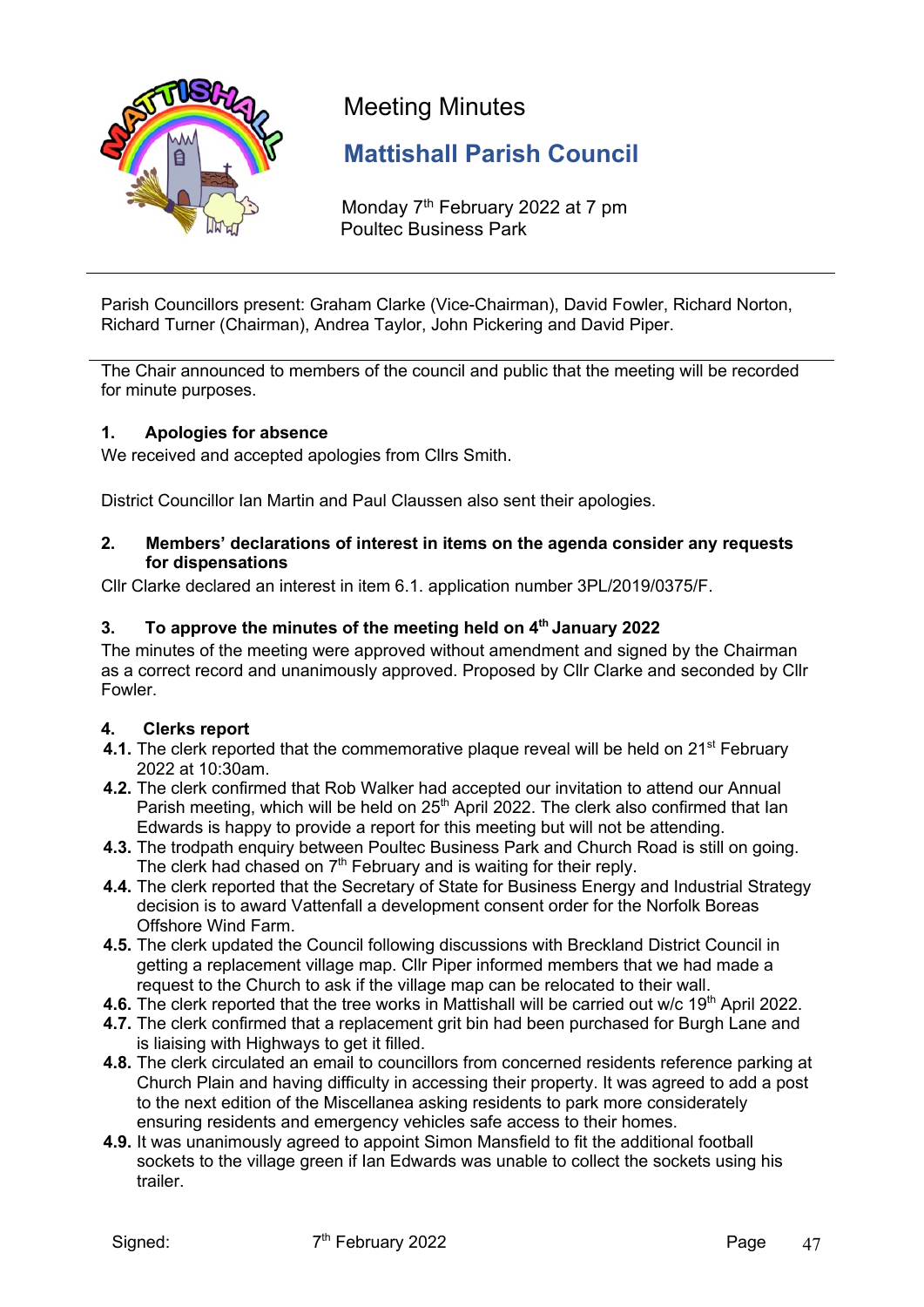

# Meeting Minutes

# **Mattishall Parish Council**

Monday 7<sup>th</sup> February 2022 at 7 pm Poultec Business Park

Parish Councillors present: Graham Clarke (Vice-Chairman), David Fowler, Richard Norton, Richard Turner (Chairman), Andrea Taylor, John Pickering and David Piper.

The Chair announced to members of the council and public that the meeting will be recorded for minute purposes.

# **1. Apologies for absence**

We received and accepted apologies from Cllrs Smith.

District Councillor Ian Martin and Paul Claussen also sent their apologies.

#### **2. Members' declarations of interest in items on the agenda consider any requests for dispensations**

Cllr Clarke declared an interest in item 6.1. application number 3PL/2019/0375/F.

# **3. To approve the minutes of the meeting held on 4th January 2022**

The minutes of the meeting were approved without amendment and signed by the Chairman as a correct record and unanimously approved. Proposed by Cllr Clarke and seconded by Cllr Fowler.

#### **4. Clerks report**

- **4.1.** The clerk reported that the commemorative plaque reveal will be held on 21<sup>st</sup> February 2022 at 10:30am.
- **4.2.** The clerk confirmed that Rob Walker had accepted our invitation to attend our Annual Parish meeting, which will be held on 25<sup>th</sup> April 2022. The clerk also confirmed that lan Edwards is happy to provide a report for this meeting but will not be attending.
- **4.3.** The trodpath enquiry between Poultec Business Park and Church Road is still on going. The clerk had chased on  $7<sup>th</sup>$  February and is waiting for their reply.
- **4.4.** The clerk reported that the Secretary of State for Business Energy and Industrial Strategy decision is to award Vattenfall a development consent order for the Norfolk Boreas Offshore Wind Farm.
- **4.5.** The clerk updated the Council following discussions with Breckland District Council in getting a replacement village map. Cllr Piper informed members that we had made a request to the Church to ask if the village map can be relocated to their wall.
- **4.6.** The clerk reported that the tree works in Mattishall will be carried out w/c 19<sup>th</sup> April 2022.
- **4.7.** The clerk confirmed that a replacement grit bin had been purchased for Burgh Lane and is liaising with Highways to get it filled.
- **4.8.** The clerk circulated an email to councillors from concerned residents reference parking at Church Plain and having difficulty in accessing their property. It was agreed to add a post to the next edition of the Miscellanea asking residents to park more considerately ensuring residents and emergency vehicles safe access to their homes.
- **4.9.** It was unanimously agreed to appoint Simon Mansfield to fit the additional football sockets to the village green if Ian Edwards was unable to collect the sockets using his trailer.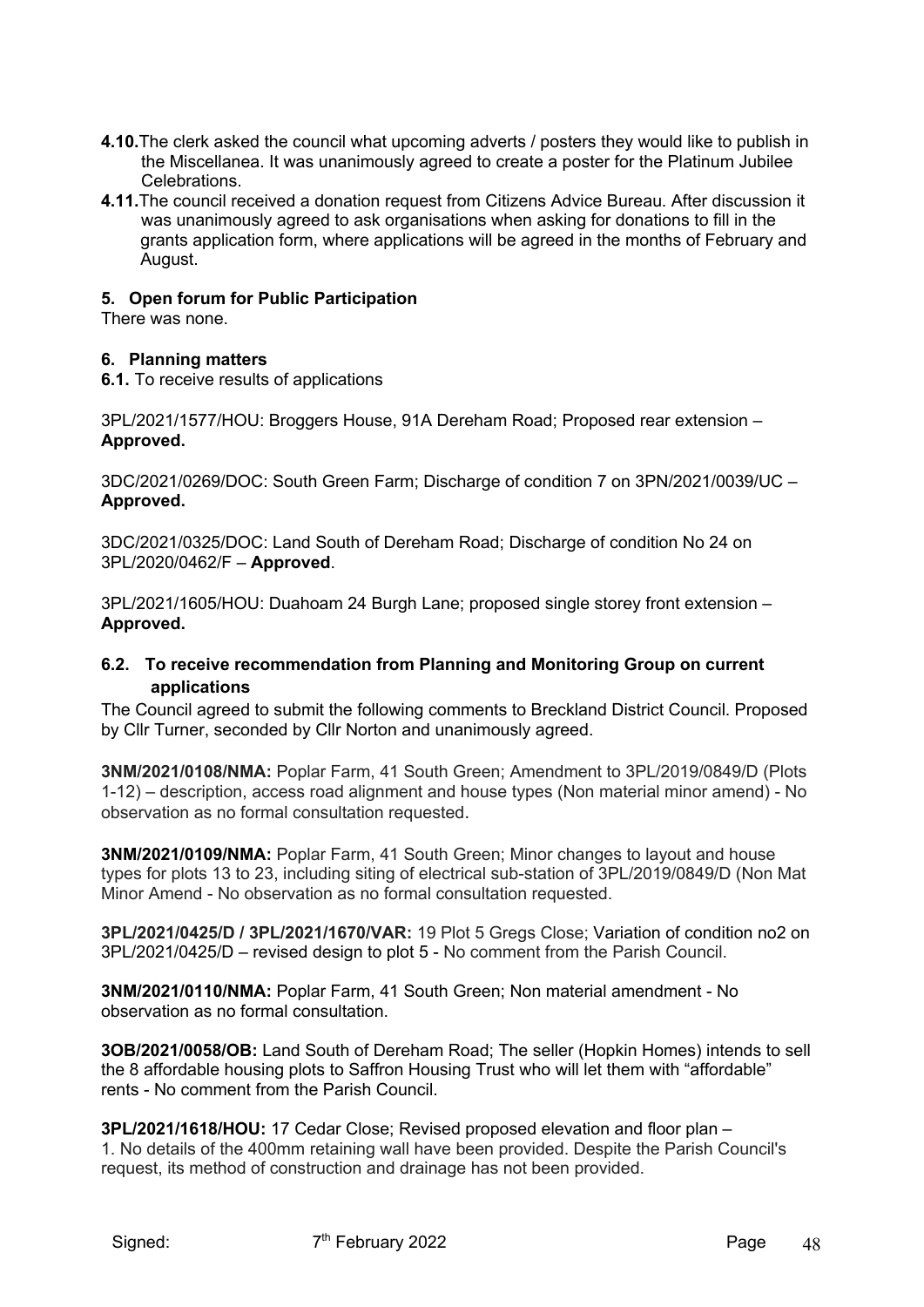- **4.10.**The clerk asked the council what upcoming adverts / posters they would like to publish in the Miscellanea. It was unanimously agreed to create a poster for the Platinum Jubilee Celebrations.
- **4.11.**The council received a donation request from Citizens Advice Bureau. After discussion it was unanimously agreed to ask organisations when asking for donations to fill in the grants application form, where applications will be agreed in the months of February and August.

#### **5. Open forum for Public Participation**

There was none.

#### **6. Planning matters**

**6.1.** To receive results of applications

3PL/2021/1577/HOU: Broggers House, 91A Dereham Road; Proposed rear extension – **Approved.** 

3DC/2021/0269/DOC: South Green Farm; Discharge of condition 7 on 3PN/2021/0039/UC – **Approved.** 

3DC/2021/0325/DOC: Land South of Dereham Road; Discharge of condition No 24 on 3PL/2020/0462/F – **Approved**.

3PL/2021/1605/HOU: Duahoam 24 Burgh Lane; proposed single storey front extension – **Approved.** 

# **6.2. To receive recommendation from Planning and Monitoring Group on current applications**

The Council agreed to submit the following comments to Breckland District Council. Proposed by Cllr Turner, seconded by Cllr Norton and unanimously agreed.

**3NM/2021/0108/NMA:** Poplar Farm, 41 South Green; Amendment to 3PL/2019/0849/D (Plots 1-12) – description, access road alignment and house types (Non material minor amend) - No observation as no formal consultation requested.

**3NM/2021/0109/NMA:** Poplar Farm, 41 South Green; Minor changes to layout and house types for plots 13 to 23, including siting of electrical sub-station of 3PL/2019/0849/D (Non Mat Minor Amend - No observation as no formal consultation requested.

**3PL/2021/0425/D / 3PL/2021/1670/VAR:** 19 Plot 5 Gregs Close; Variation of condition no2 on 3PL/2021/0425/D – revised design to plot 5 - No comment from the Parish Council.

**3NM/2021/0110/NMA:** Poplar Farm, 41 South Green; Non material amendment - No observation as no formal consultation.

**3OB/2021/0058/OB:** Land South of Dereham Road; The seller (Hopkin Homes) intends to sell the 8 affordable housing plots to Saffron Housing Trust who will let them with "affordable" rents - No comment from the Parish Council.

**3PL/2021/1618/HOU:** 17 Cedar Close; Revised proposed elevation and floor plan – 1. No details of the 400mm retaining wall have been provided. Despite the Parish Council's request, its method of construction and drainage has not been provided.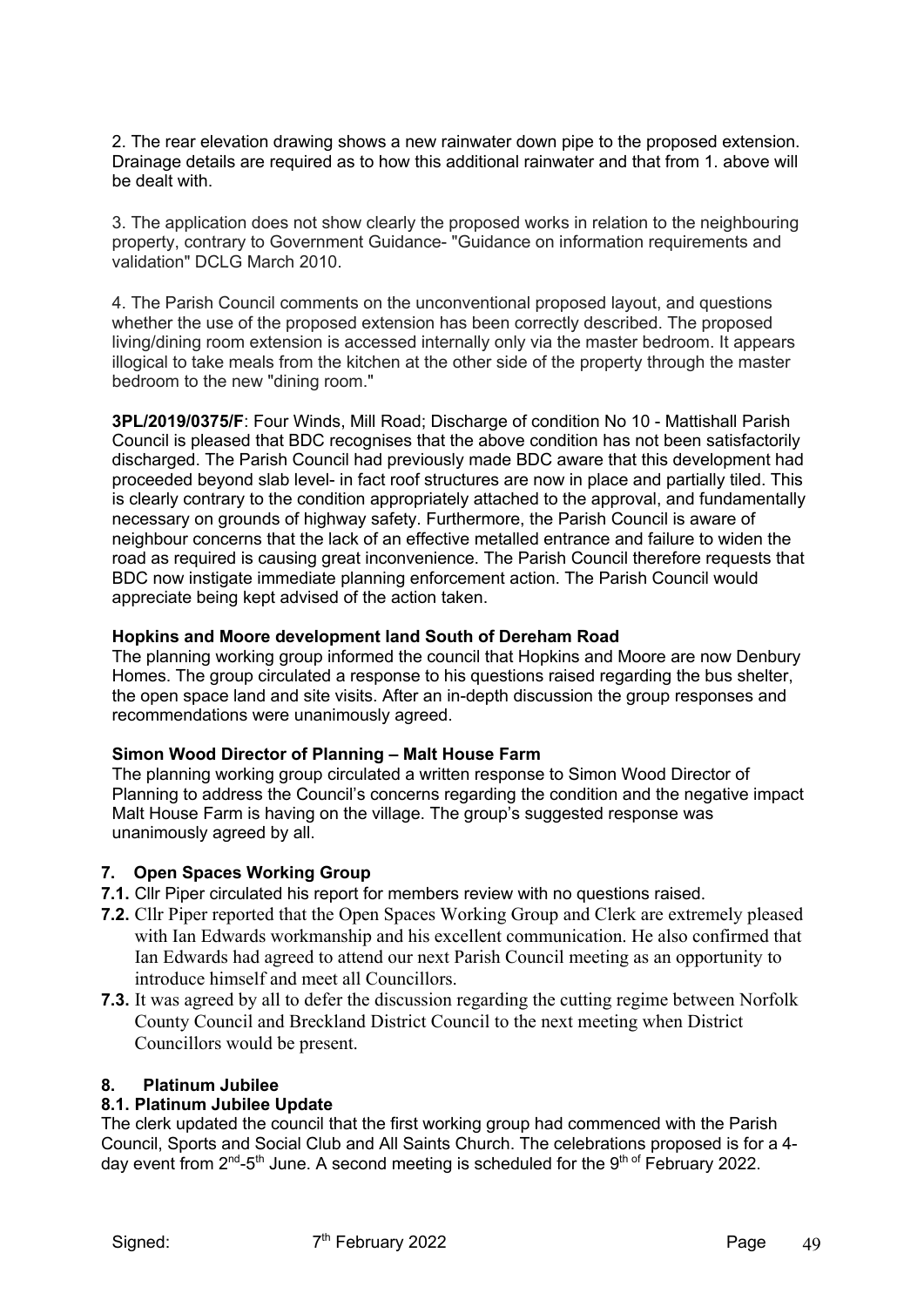2. The rear elevation drawing shows a new rainwater down pipe to the proposed extension. Drainage details are required as to how this additional rainwater and that from 1. above will be dealt with.

3. The application does not show clearly the proposed works in relation to the neighbouring property, contrary to Government Guidance- "Guidance on information requirements and validation" DCLG March 2010.

4. The Parish Council comments on the unconventional proposed layout, and questions whether the use of the proposed extension has been correctly described. The proposed living/dining room extension is accessed internally only via the master bedroom. It appears illogical to take meals from the kitchen at the other side of the property through the master bedroom to the new "dining room."

**3PL/2019/0375/F**: Four Winds, Mill Road; Discharge of condition No 10 - Mattishall Parish Council is pleased that BDC recognises that the above condition has not been satisfactorily discharged. The Parish Council had previously made BDC aware that this development had proceeded beyond slab level- in fact roof structures are now in place and partially tiled. This is clearly contrary to the condition appropriately attached to the approval, and fundamentally necessary on grounds of highway safety. Furthermore, the Parish Council is aware of neighbour concerns that the lack of an effective metalled entrance and failure to widen the road as required is causing great inconvenience. The Parish Council therefore requests that BDC now instigate immediate planning enforcement action. The Parish Council would appreciate being kept advised of the action taken.

#### **Hopkins and Moore development land South of Dereham Road**

The planning working group informed the council that Hopkins and Moore are now Denbury Homes. The group circulated a response to his questions raised regarding the bus shelter, the open space land and site visits. After an in-depth discussion the group responses and recommendations were unanimously agreed.

#### **Simon Wood Director of Planning – Malt House Farm**

The planning working group circulated a written response to Simon Wood Director of Planning to address the Council's concerns regarding the condition and the negative impact Malt House Farm is having on the village. The group's suggested response was unanimously agreed by all.

#### **7. Open Spaces Working Group**

- **7.1.** Cllr Piper circulated his report for members review with no questions raised.
- **7.2.** Cllr Piper reported that the Open Spaces Working Group and Clerk are extremely pleased with Ian Edwards workmanship and his excellent communication. He also confirmed that Ian Edwards had agreed to attend our next Parish Council meeting as an opportunity to introduce himself and meet all Councillors.
- **7.3.** It was agreed by all to defer the discussion regarding the cutting regime between Norfolk County Council and Breckland District Council to the next meeting when District Councillors would be present.

#### **8. Platinum Jubilee**

#### **8.1. Platinum Jubilee Update**

The clerk updated the council that the first working group had commenced with the Parish Council, Sports and Social Club and All Saints Church. The celebrations proposed is for a 4 day event from 2<sup>nd</sup>-5<sup>th</sup> June. A second meeting is scheduled for the 9<sup>th of</sup> February 2022.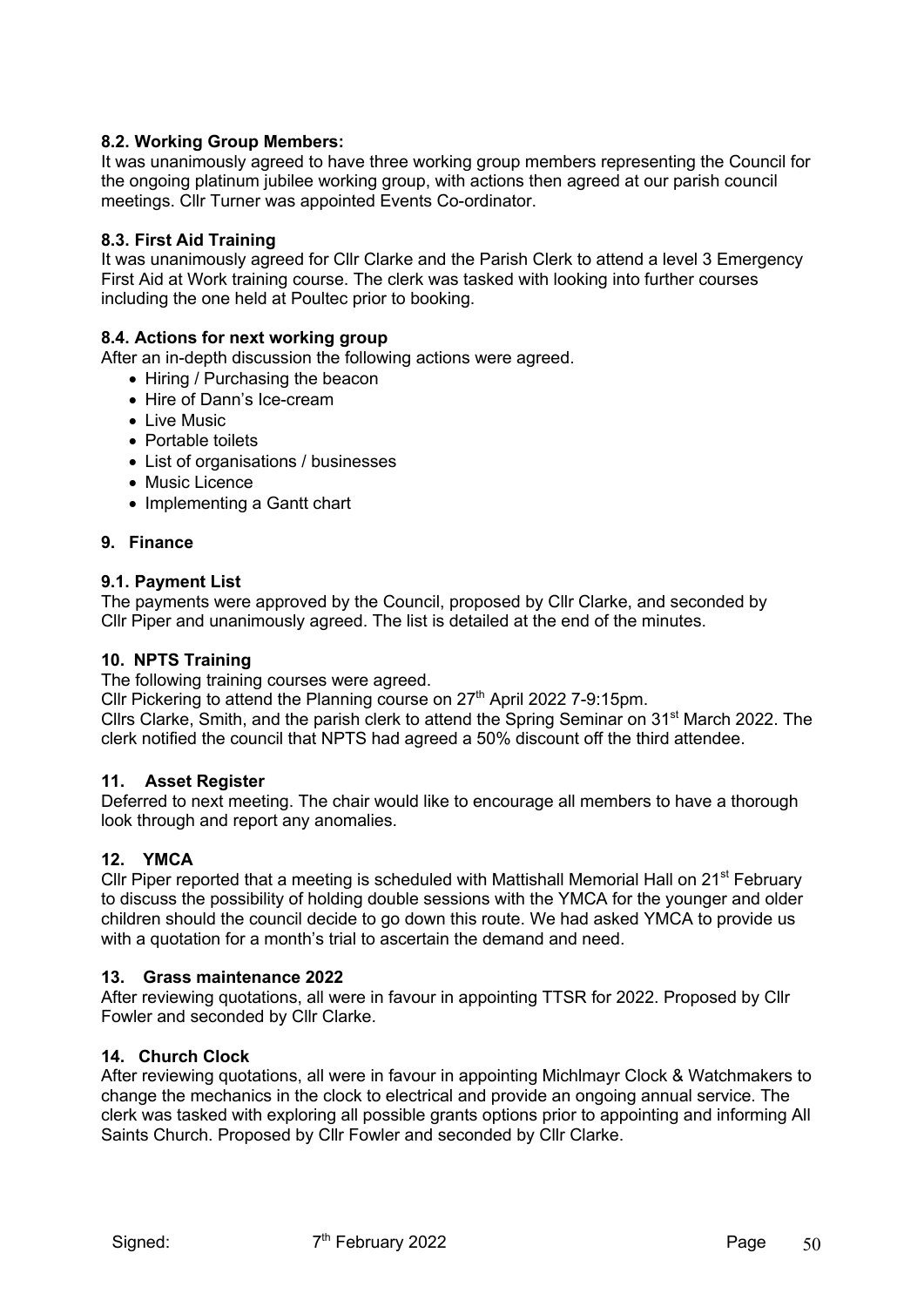# **8.2. Working Group Members:**

It was unanimously agreed to have three working group members representing the Council for the ongoing platinum jubilee working group, with actions then agreed at our parish council meetings. Cllr Turner was appointed Events Co-ordinator.

#### **8.3. First Aid Training**

It was unanimously agreed for Cllr Clarke and the Parish Clerk to attend a level 3 Emergency First Aid at Work training course. The clerk was tasked with looking into further courses including the one held at Poultec prior to booking.

#### **8.4. Actions for next working group**

After an in-depth discussion the following actions were agreed.

- Hiring / Purchasing the beacon
- Hire of Dann's Ice-cream
- Live Music
- Portable toilets
- List of organisations / businesses
- Music Licence
- Implementing a Gantt chart

#### **9. Finance**

#### **9.1. Payment List**

The payments were approved by the Council, proposed by Cllr Clarke, and seconded by Cllr Piper and unanimously agreed. The list is detailed at the end of the minutes.

#### **10. NPTS Training**

The following training courses were agreed.

Cllr Pickering to attend the Planning course on 27<sup>th</sup> April 2022 7-9:15pm.

Cllrs Clarke, Smith, and the parish clerk to attend the Spring Seminar on 31<sup>st</sup> March 2022. The clerk notified the council that NPTS had agreed a 50% discount off the third attendee.

#### **11. Asset Register**

Deferred to next meeting. The chair would like to encourage all members to have a thorough look through and report any anomalies.

#### **12. YMCA**

Cllr Piper reported that a meeting is scheduled with Mattishall Memorial Hall on  $21<sup>st</sup>$  February to discuss the possibility of holding double sessions with the YMCA for the younger and older children should the council decide to go down this route. We had asked YMCA to provide us with a quotation for a month's trial to ascertain the demand and need.

#### **13. Grass maintenance 2022**

After reviewing quotations, all were in favour in appointing TTSR for 2022. Proposed by Cllr Fowler and seconded by Cllr Clarke.

#### **14. Church Clock**

After reviewing quotations, all were in favour in appointing Michlmayr Clock & Watchmakers to change the mechanics in the clock to electrical and provide an ongoing annual service. The clerk was tasked with exploring all possible grants options prior to appointing and informing All Saints Church. Proposed by Cllr Fowler and seconded by Cllr Clarke.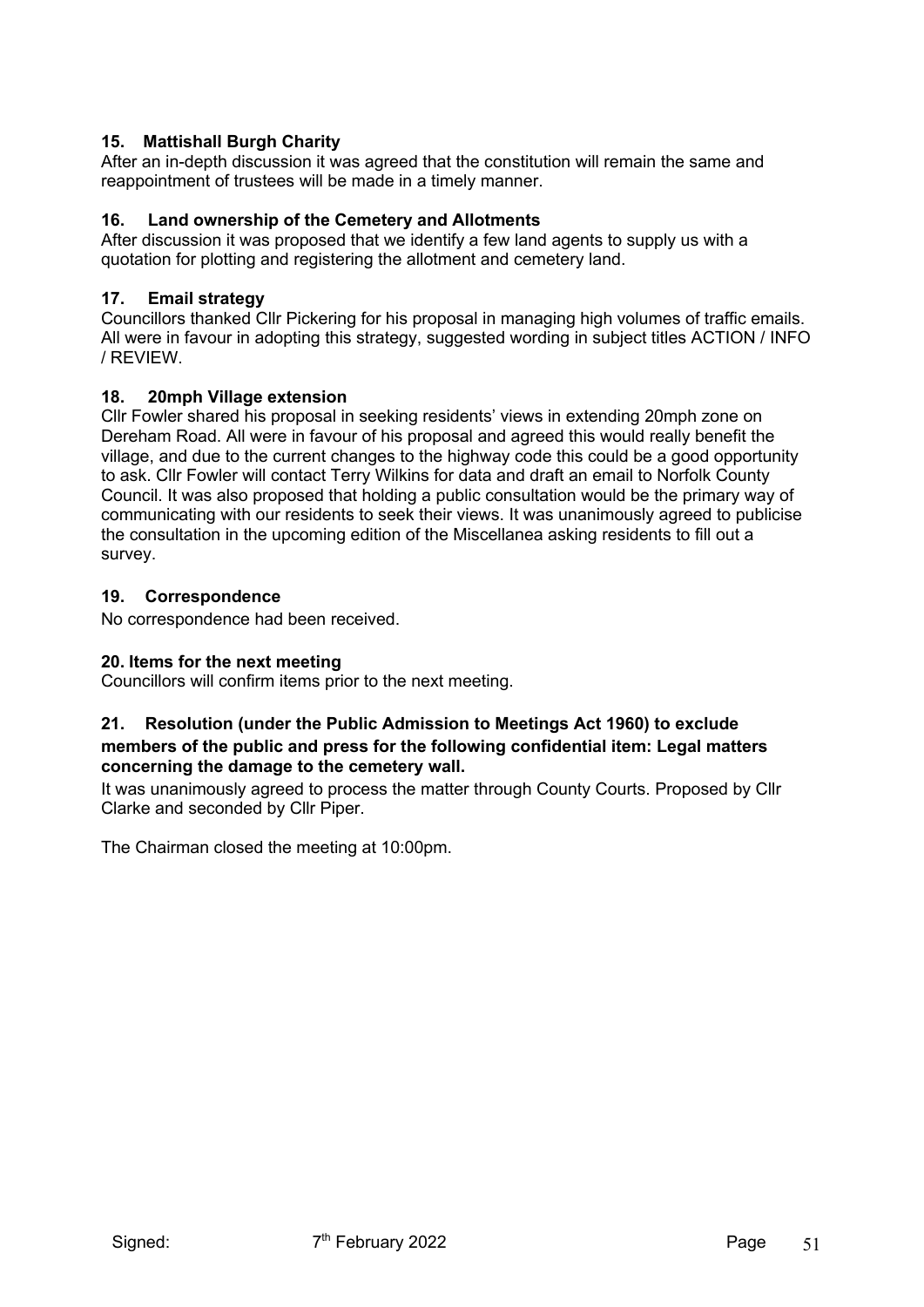# **15. Mattishall Burgh Charity**

After an in-depth discussion it was agreed that the constitution will remain the same and reappointment of trustees will be made in a timely manner.

# **16. Land ownership of the Cemetery and Allotments**

After discussion it was proposed that we identify a few land agents to supply us with a quotation for plotting and registering the allotment and cemetery land.

# **17. Email strategy**

Councillors thanked Cllr Pickering for his proposal in managing high volumes of traffic emails. All were in favour in adopting this strategy, suggested wording in subject titles ACTION / INFO / REVIEW.

# **18. 20mph Village extension**

Cllr Fowler shared his proposal in seeking residents' views in extending 20mph zone on Dereham Road. All were in favour of his proposal and agreed this would really benefit the village, and due to the current changes to the highway code this could be a good opportunity to ask. Cllr Fowler will contact Terry Wilkins for data and draft an email to Norfolk County Council. It was also proposed that holding a public consultation would be the primary way of communicating with our residents to seek their views. It was unanimously agreed to publicise the consultation in the upcoming edition of the Miscellanea asking residents to fill out a survey.

# **19. Correspondence**

No correspondence had been received.

#### **20. Items for the next meeting**

Councillors will confirm items prior to the next meeting.

#### **21. Resolution (under the Public Admission to Meetings Act 1960) to exclude members of the public and press for the following confidential item: Legal matters concerning the damage to the cemetery wall.**

It was unanimously agreed to process the matter through County Courts. Proposed by Cllr Clarke and seconded by Cllr Piper.

The Chairman closed the meeting at 10:00pm.